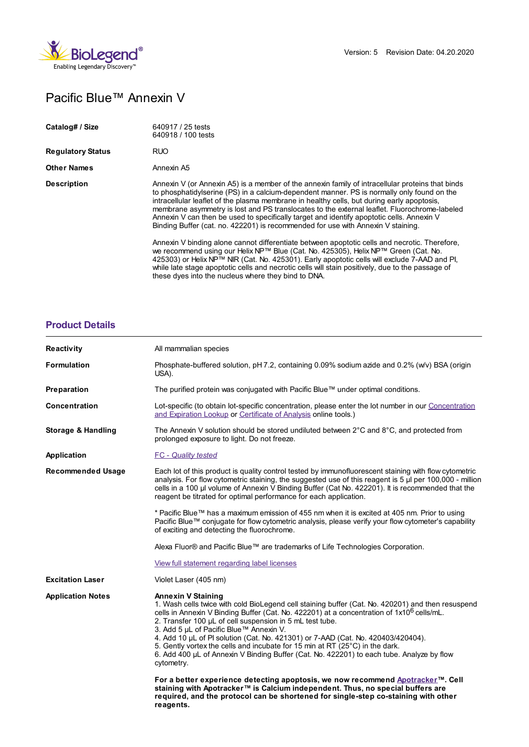

## Pacific Blue™ Annexin V

| Catalog# / Size          | 640917 / 25 tests<br>640918 / 100 tests                                                                                                                                                                                                                                                                                                                                                                                                                                                                                                                                       |
|--------------------------|-------------------------------------------------------------------------------------------------------------------------------------------------------------------------------------------------------------------------------------------------------------------------------------------------------------------------------------------------------------------------------------------------------------------------------------------------------------------------------------------------------------------------------------------------------------------------------|
| <b>Regulatory Status</b> | <b>RUO</b>                                                                                                                                                                                                                                                                                                                                                                                                                                                                                                                                                                    |
| <b>Other Names</b>       | Annexin A5                                                                                                                                                                                                                                                                                                                                                                                                                                                                                                                                                                    |
| <b>Description</b>       | Annexin V (or Annexin A5) is a member of the annexin family of intracellular proteins that binds<br>to phosphatidylserine (PS) in a calcium-dependent manner. PS is normally only found on the<br>intracellular leaflet of the plasma membrane in healthy cells, but during early apoptosis,<br>membrane asymmetry is lost and PS translocates to the external leaflet. Fluorochrome-labeled<br>Annexin V can then be used to specifically target and identify apoptotic cells. Annexin V<br>Binding Buffer (cat. no. 422201) is recommended for use with Annexin V staining. |
|                          | Annexin V binding alone cannot differentiate between apoptotic cells and necrotic. Therefore,<br>we recommend using our Helix NP™ Blue (Cat. No. 425305), Helix NP™ Green (Cat. No.<br>425303) or Helix NP™ NIR (Cat. No. 425301). Early apoptotic cells will exclude 7-AAD and Pl.<br>while late stage apoptotic cells and necrotic cells will stain positively, due to the passage of<br>these dyes into the nucleus where they bind to DNA.                                                                                                                                |

## **[Product](https://production-dynamicweb.biolegend.com/de-at/products/pacific-blue-annexin-v-5476?pdf=true&displayInline=true&leftRightMargin=15&topBottomMargin=15&filename=Pacific Blue%EF%BF%BD%EF%BF%BD%EF%BF%BD Annexin V.pdf#productDetails) Details**

| <b>Reactivity</b>             | All mammalian species                                                                                                                                                                                                                                                                                                                                                                                                                                                                                                                                                                                                         |
|-------------------------------|-------------------------------------------------------------------------------------------------------------------------------------------------------------------------------------------------------------------------------------------------------------------------------------------------------------------------------------------------------------------------------------------------------------------------------------------------------------------------------------------------------------------------------------------------------------------------------------------------------------------------------|
| <b>Formulation</b>            | Phosphate-buffered solution, pH 7.2, containing 0.09% sodium azide and 0.2% (w/v) BSA (origin<br>USA).                                                                                                                                                                                                                                                                                                                                                                                                                                                                                                                        |
| Preparation                   | The purified protein was conjugated with Pacific Blue™ under optimal conditions.                                                                                                                                                                                                                                                                                                                                                                                                                                                                                                                                              |
| <b>Concentration</b>          | Lot-specific (to obtain lot-specific concentration, please enter the lot number in our Concentration<br>and Expiration Lookup or Certificate of Analysis online tools.)                                                                                                                                                                                                                                                                                                                                                                                                                                                       |
| <b>Storage &amp; Handling</b> | The Annexin V solution should be stored undiluted between $2^{\circ}$ C and $8^{\circ}$ C, and protected from<br>prolonged exposure to light. Do not freeze.                                                                                                                                                                                                                                                                                                                                                                                                                                                                  |
| Application                   | <b>FC</b> - Quality tested                                                                                                                                                                                                                                                                                                                                                                                                                                                                                                                                                                                                    |
| <b>Recommended Usage</b>      | Each lot of this product is quality control tested by immunofluorescent staining with flow cytometric<br>analysis. For flow cytometric staining, the suggested use of this reagent is 5 µl per 100,000 - million<br>cells in a 100 µl volume of Annexin V Binding Buffer (Cat No. 422201). It is recommended that the<br>reagent be titrated for optimal performance for each application.                                                                                                                                                                                                                                    |
|                               | * Pacific Blue™ has a maximum emission of 455 nm when it is excited at 405 nm. Prior to using<br>Pacific Blue™ conjugate for flow cytometric analysis, please verify your flow cytometer's capability<br>of exciting and detecting the fluorochrome.                                                                                                                                                                                                                                                                                                                                                                          |
|                               | Alexa Fluor® and Pacific Blue™ are trademarks of Life Technologies Corporation.                                                                                                                                                                                                                                                                                                                                                                                                                                                                                                                                               |
|                               | View full statement regarding label licenses                                                                                                                                                                                                                                                                                                                                                                                                                                                                                                                                                                                  |
| <b>Excitation Laser</b>       | Violet Laser (405 nm)                                                                                                                                                                                                                                                                                                                                                                                                                                                                                                                                                                                                         |
| <b>Application Notes</b>      | <b>Annexin V Staining</b><br>1. Wash cells twice with cold BioLegend cell staining buffer (Cat. No. 420201) and then resuspend<br>cells in Annexin V Binding Buffer (Cat. No. 422201) at a concentration of 1x10 <sup>6</sup> cells/mL.<br>2. Transfer 100 µL of cell suspension in 5 mL test tube.<br>3. Add 5 µL of Pacific Blue™ Annexin V.<br>4. Add 10 µL of PI solution (Cat. No. 421301) or 7-AAD (Cat. No. 420403/420404).<br>5. Gently vortex the cells and incubate for 15 min at RT (25°C) in the dark.<br>6. Add 400 µL of Annexin V Binding Buffer (Cat. No. 422201) to each tube. Analyze by flow<br>cytometry. |
|                               | For a better experience detecting apoptosis, we now recommend Apotracker™. Cell<br>staining with Apotracker™ is Calcium independent. Thus, no special buffers are<br>required, and the protocol can be shortened for single-step co-staining with other<br>reagents.                                                                                                                                                                                                                                                                                                                                                          |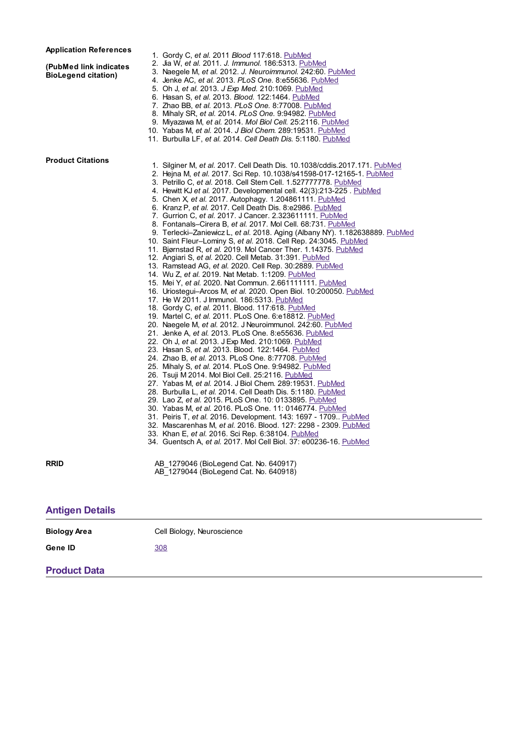## **Application References**

**(PubMed link indicates BioLegend citation)**

- 
- 1. Gordy C, *et al.* 2011 *Blood* 117:618. [PubMed](http://www.ncbi.nlm.nih.gov/pubmed/20980680?dopt=Abstract) 2. Jia W, *et al.* 2011. *J. Immunol.* 186:5313. [PubMed](http://www.ncbi.nlm.nih.gov/pubmed/21421856?dopt=Abstract) 3. Naegele M, *et al.* 2012. *J. Neuroimmunol.* 242:60. [PubMed](http://www.ncbi.nlm.nih.gov/pubmed?term=22169406)
- 4. Jenke AC, *et al.* 2013. *PLoS One.* 8:e55636. [PubMed](http://www.ncbi.nlm.nih.gov/pubmed/?term=23409010)
	-
- 5. Oh J, *et al.* 2013. *J Exp Med.* 210:1069. [PubMed](http://www.ncbi.nlm.nih.gov/pubmed/23712430?dopt=Abstract) 6. Hasan S, *et al.* 2013. *Blood.* 122:1464. [PubMed](http://www.ncbi.nlm.nih.gov/pubmed/23863895?dopt=Abstract)
- 7. Zhao BB, *et al.* 2013. *PLoS One.* 8:77008. [PubMed](http://www.ncbi.nlm.nih.gov/pubmed/?term=24130824)
- 8. Mihaly SR, *et al.* 2014. *PLoS One.* 9:94982. [PubMed](http://www.ncbi.nlm.nih.gov/pubmed/?term=24736749)
- 9. Miyazawa M, *et al.* 2014. *Mol Biol Cell.* 25:2116. [PubMed](http://www.ncbi.nlm.nih.gov/pubmed/24807908?dopt=Abstract)
- 10. Yabas M, *et al.* 2014. *J Biol Chem.* 289:19531. [PubMed](http://www.ncbi.nlm.nih.gov/pubmed/24898253?dopt=Abstract)
- 11. Burbulla LF, *et al.* 2014. *Cell Death Dis.* 5:1180. [PubMed](http://www.ncbi.nlm.nih.gov/pubmed/?term=24743735)

## **Product Citations**

- 1. Silginer M, *et al.* 2017. Cell Death Dis. 10.1038/cddis.2017.171. [PubMed](https://www.ncbi.nlm.nih.gov/pubmed/28425987)
- 2. Hejna M, *et al.* 2017. Sci Rep. 10.1038/s41598-017-12165-1. [PubMed](https://www.ncbi.nlm.nih.gov/pubmed/28931937)
- 3. Petrillo C, *et al.* 2018. Cell Stem Cell. 1.527777778. [PubMed](https://www.ncbi.nlm.nih.gov/pubmed/30416070)
- 4. Hewitt KJ *et al.* 2017. Developmental cell. 42(3):213-225 . [PubMed](https://www.ncbi.nlm.nih.gov/pubmed/28787589)
- 5. Chen X, *et al.* 2017. Autophagy. 1.204861111. [PubMed](https://www.ncbi.nlm.nih.gov/pubmed/28282266)
- 6. Kranz P, *et al.* 2017. Cell Death Dis. 8:e2986. [PubMed](https://www.ncbi.nlm.nih.gov/pubmed/28796255)
- 7. Gurrion C, *et al.* 2017. J Cancer. 2.323611111. [PubMed](https://www.ncbi.nlm.nih.gov/pubmed/28928876)
- 8. Fontanals–Cirera B, *et al.* 2017. Mol Cell. 68:731. [PubMed](https://www.ncbi.nlm.nih.gov/pubmed/29149598)
- 9. Terlecki–Zaniewicz L, *et al.* 2018. Aging (Albany NY). 1.182638889. [PubMed](https://www.ncbi.nlm.nih.gov/pubmed/29779019)
- 10. Saint Fleur–Lominy S, *et al.* 2018. Cell Rep. 24:3045. [PubMed](https://www.ncbi.nlm.nih.gov/pubmed/30208327)
- 11. Bjørnstad R, *et al.* 2019. Mol Cancer Ther. 1.14375. [PubMed](https://www.ncbi.nlm.nih.gov/pubmed/30679386)
- 12. Angiari S, *et al.* 2020. Cell Metab. 31:391. [PubMed](https://www.ncbi.nlm.nih.gov/pubmed/31761564)
- 13. Ramstead AG, *et al.* 2020. Cell Rep. 30:2889. [PubMed](https://pubmed.ncbi.nlm.nih.gov/32130894)
- 14. Wu Z, *et al.* 2019. Nat Metab. 1:1209. [PubMed](https://pubmed.ncbi.nlm.nih.gov/32395698)
- 15. Mei Y, *et al.* 2020. Nat Commun. 2.661111111. [PubMed](https://pubmed.ncbi.nlm.nih.gov/32576838)
- 16. Uriostegui–Arcos M, *et al.* 2020. Open Biol. 10:200050. [PubMed](https://pubmed.ncbi.nlm.nih.gov/32543350)
- 17. He W 2011. J Immunol. 186:5313. [PubMed](http://www.ncbi.nlm.nih.gov/pubmed/21421856?dopt=Abstract)
- 18. Gordy C, *et al.* 2011. Blood. 117:618. [PubMed](http://www.ncbi.nlm.nih.gov/pubmed/20980680?dopt=Abstract)
- 19. Martel C, *et al.* 2011. PLoS One. 6:e18812. [PubMed](http://www.ncbi.nlm.nih.gov/pubmed/21526204)
- 20. Naegele M, *et al.* 2012. J Neuroimmunol. 242:60. [PubMed](http://www.ncbi.nlm.nih.gov/pubmed?term=22169406)
- 21. Jenke A, *et al.* 2013. PLoS One. 8:e55636. [PubMed](http://www.ncbi.nlm.nih.gov/pubmed/?term=23409010)
- 22. Oh J, *et al.* 2013. J Exp Med. 210:1069. [PubMed](http://www.ncbi.nlm.nih.gov/pubmed/23712430?dopt=Abstract)
- 23. Hasan S, *et al.* 2013. Blood. 122:1464. [PubMed](http://www.ncbi.nlm.nih.gov/pubmed/23863895?dopt=Abstract)
- 24. Zhao B, *et al.* 2013. PLoS One. 8:77708. [PubMed](http://www.ncbi.nlm.nih.gov/pubmed/?term=24130824)
- 25. Mihaly S, *et al.* 2014. PLoS One. 9:94982. [PubMed](http://www.ncbi.nlm.nih.gov/pubmed/?term=24736749)
- 26. Tsuji M 2014. Mol Biol Cell. 25:2116. [PubMed](http://www.ncbi.nlm.nih.gov/pubmed/24807908?dopt=Abstract)
- 27. Yabas M, *et al.* 2014. J Biol Chem. 289:19531. [PubMed](http://www.ncbi.nlm.nih.gov/pubmed/24898253?dopt=Abstract)
- 28. Burbulla L, *et al.* 2014. Cell Death Dis. 5:1180. [PubMed](http://www.ncbi.nlm.nih.gov/pubmed/?term=24743735)
- 29. Lao Z, *et al.* 2015. PLoS One. 10: 0133895. [PubMed](http://www.ncbi.nlm.nih.gov/pubmed/26208323) 30. Yabas M, *et al.* 2016. PLoS One. 11: 0146774. [PubMed](http://www.ncbi.nlm.nih.gov/pubmed/26799398)
- 
- 31. Peiris T, *et al.* 2016. Development. 143: 1697 1709.. [PubMed](http://www.ncbi.nlm.nih.gov/pubmed/27013241) 32. Mascarenhas M, *et al.* 2016. Blood. 127: 2298 - 2309. [PubMed](http://www.ncbi.nlm.nih.gov/pubmed/26864339)
- 33. Khan E, *et al.* 2016. Sci Rep. 6:38104. [PubMed](https://www.ncbi.nlm.nih.gov/pubmed/27924945)
- 34. Guentsch A, *et al.* 2017. Mol Cell Biol. 37: e00236-16. [PubMed](https://www.ncbi.nlm.nih.gov/pubmed/27795296)

**RRID** AB 1279046 (BioLegend Cat. No. 640917) AB\_1279044 (BioLegend Cat. No. 640918)

| <b>Antigen Details</b> |                            |  |
|------------------------|----------------------------|--|
| <b>Biology Area</b>    | Cell Biology, Neuroscience |  |
| Gene ID                | 308                        |  |
| <b>Product Data</b>    |                            |  |